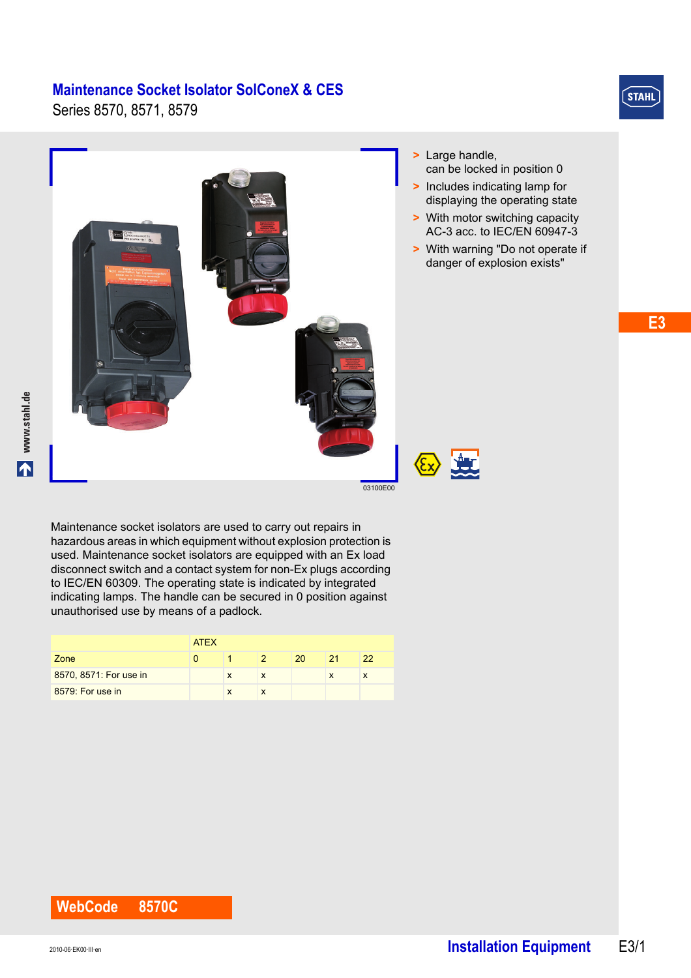Series 8570, 8571, 8579



**E3**



Maintenance socket isolators are used to carry out repairs in hazardous areas in which equipment without explosion protection is used. Maintenance socket isolators are equipped with an Ex load disconnect switch and a contact system for non-Ex plugs according to IEC/EN 60309. The operating state is indicated by integrated indicating lamps. The handle can be secured in 0 position against unauthorised use by means of a padlock.

|                        | <b>ATEX</b> |   |  |    |    |    |  |  |
|------------------------|-------------|---|--|----|----|----|--|--|
| Zone                   |             |   |  | 20 | 21 | 22 |  |  |
| 8570, 8571: For use in |             | X |  |    | x  |    |  |  |
| 8579: For use in       |             | X |  |    |    |    |  |  |

#### **WebCode 8570C**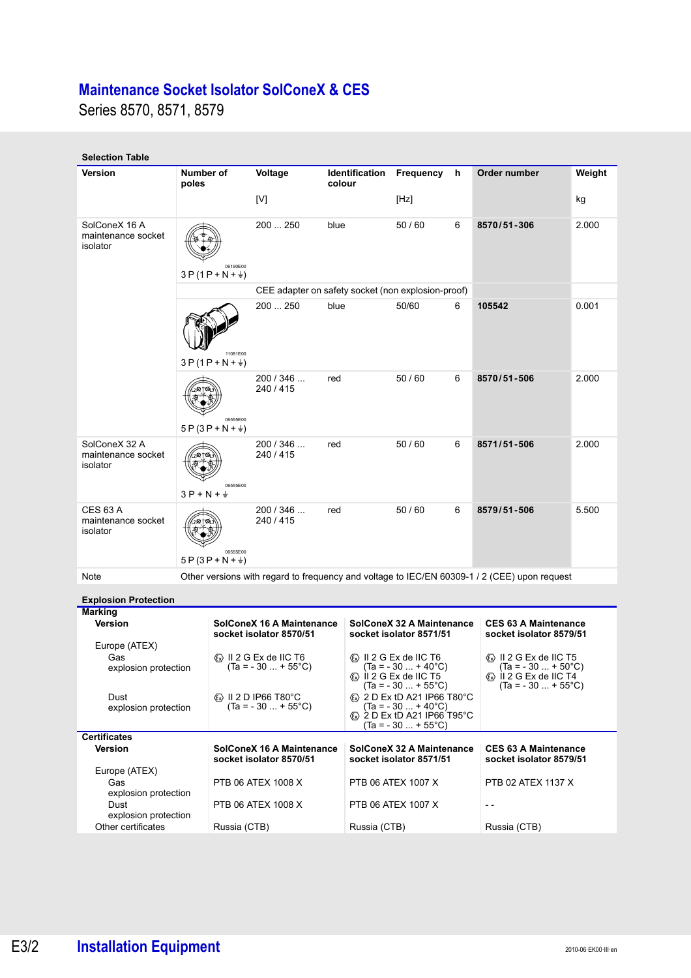Series 8570, 8571, 8579

| <b>Selection Table</b>                            |                                    |                                                                                                                                                                                                                                      |                                                                                   |        |                |                                                                                                                                           |   |                                                                                                                                                                        |        |
|---------------------------------------------------|------------------------------------|--------------------------------------------------------------------------------------------------------------------------------------------------------------------------------------------------------------------------------------|-----------------------------------------------------------------------------------|--------|----------------|-------------------------------------------------------------------------------------------------------------------------------------------|---|------------------------------------------------------------------------------------------------------------------------------------------------------------------------|--------|
| <b>Version</b>                                    | Number of<br>poles                 |                                                                                                                                                                                                                                      | Voltage                                                                           | colour | Identification | Frequency                                                                                                                                 | h | Order number                                                                                                                                                           | Weight |
|                                                   |                                    |                                                                                                                                                                                                                                      | [V]                                                                               |        |                | [Hz]                                                                                                                                      |   |                                                                                                                                                                        | kg     |
| SolConeX 16 A<br>maintenance socket<br>isolator   | 06190E00<br>$3P(1P+N+\frac{1}{2})$ |                                                                                                                                                                                                                                      | 200  250                                                                          | blue   |                | 50/60                                                                                                                                     | 6 | 8570/51-306                                                                                                                                                            | 2.000  |
|                                                   |                                    |                                                                                                                                                                                                                                      | CEE adapter on safety socket (non explosion-proof)                                |        |                |                                                                                                                                           |   |                                                                                                                                                                        |        |
|                                                   |                                    | 11081E00<br>$3P(1P+N+\frac{1}{2})$                                                                                                                                                                                                   | 200  250                                                                          | blue   |                | 50/60<br>6                                                                                                                                |   | 105542                                                                                                                                                                 | 0.001  |
|                                                   |                                    | 06555E00<br>$5P(3P+N+\frac{1}{2})$                                                                                                                                                                                                   | 200/346<br>240 / 415                                                              | red    |                | 50/60                                                                                                                                     | 6 | 8570/51-506                                                                                                                                                            | 2.000  |
| SolConeX 32 A<br>maintenance socket<br>isolator   | $3P + N + \frac{1}{2}$             | 06555E00                                                                                                                                                                                                                             | 200/346<br>240 / 415                                                              | red    |                | 50/60                                                                                                                                     | 6 | 8571/51-506                                                                                                                                                            | 2.000  |
| <b>CES 63 A</b><br>maintenance socket<br>isolator |                                    | 06555E00<br>$5P(3P+N+\frac{1}{2})$                                                                                                                                                                                                   | 200/346<br>240 / 415                                                              | red    |                | 50/60                                                                                                                                     | 6 | 8579/51-506                                                                                                                                                            | 5.500  |
| Note                                              |                                    |                                                                                                                                                                                                                                      |                                                                                   |        |                |                                                                                                                                           |   | Other versions with regard to frequency and voltage to IEC/EN 60309-1 / 2 (CEE) upon request                                                                           |        |
| <b>Explosion Protection</b>                       |                                    |                                                                                                                                                                                                                                      |                                                                                   |        |                |                                                                                                                                           |   |                                                                                                                                                                        |        |
| <b>Marking</b><br>Version                         |                                    |                                                                                                                                                                                                                                      | SolConeX 16 A Maintenance<br>socket isolator 8570/51                              |        |                | SolConeX 32 A Maintenance<br>socket isolator 8571/51                                                                                      |   | <b>CES 63 A Maintenance</b><br>socket isolator 8579/51                                                                                                                 |        |
| Europe (ATEX)<br>Gas<br>explosion protection      |                                    |                                                                                                                                                                                                                                      | $\langle \overline{x} \rangle$ II 2 G Ex de IIC T6<br>$(Ta = -30  + 55^{\circ}C)$ |        |                | ® II 2 G Ex de IIC T6<br>$(Ta = -30  + 40^{\circ}C)$<br>$\langle \overline{x} \rangle$ il 2 G Ex de IIC T5<br>$(Ta = -30  + 55^{\circ}C)$ |   | $\langle \overline{x} \rangle$ II 2 G Ex de IIC T5<br>$(Ta = -30  + 50^{\circ}C)$<br>$\langle \overline{x} \rangle$ il 2 G Ex de IIC T4<br>$(Ta = -30  + 55^{\circ}C)$ |        |
| Dust<br>explosion protection                      |                                    | $\langle \overline{x} \rangle$ II 2 D IP66 T80°C<br>$\langle \overline{x} \rangle$ 2 D Ex tD A21 IP66 T80°C<br>$(Ta = -30  + 55^{\circ}C)$<br>$(Ta = -30  + 40^{\circ}C)$<br>2 D Ex tD A21 IP66 T95°C<br>$(Ta = -30  + 55^{\circ}C)$ |                                                                                   |        |                |                                                                                                                                           |   |                                                                                                                                                                        |        |
| <b>Certificates</b>                               |                                    |                                                                                                                                                                                                                                      |                                                                                   |        |                |                                                                                                                                           |   |                                                                                                                                                                        |        |
| Version                                           |                                    |                                                                                                                                                                                                                                      | <b>SolConeX 16 A Maintenance</b><br>socket isolator 8570/51                       |        |                | SolConeX 32 A Maintenance<br>socket isolator 8571/51                                                                                      |   | <b>CES 63 A Maintenance</b><br>socket isolator 8579/51                                                                                                                 |        |
| Europe (ATEX)<br>Gas<br>explosion protection      |                                    |                                                                                                                                                                                                                                      | PTB 06 ATEX 1008 X                                                                |        |                | PTB 06 ATEX 1007 X                                                                                                                        |   | PTB 02 ATEX 1137 X                                                                                                                                                     |        |
| Dust                                              |                                    |                                                                                                                                                                                                                                      | PTB 06 ATEX 1008 X                                                                |        |                | PTB 06 ATEX 1007 X                                                                                                                        |   | $ -$                                                                                                                                                                   |        |
| explosion protection<br>Other certificates        |                                    | Russia (CTB)                                                                                                                                                                                                                         |                                                                                   |        | Russia (CTB)   |                                                                                                                                           |   | Russia (CTB)                                                                                                                                                           |        |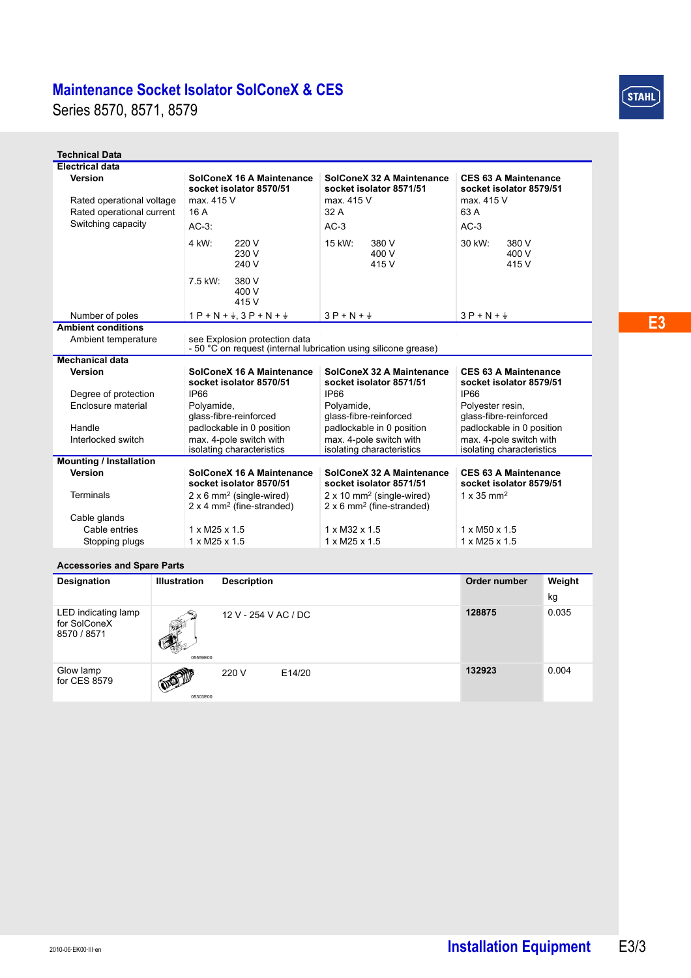Series 8570, 8571, 8579

| <b>Technical Data</b>                       |                                                                                                  |                                                                                              |                                                                      |  |  |  |  |
|---------------------------------------------|--------------------------------------------------------------------------------------------------|----------------------------------------------------------------------------------------------|----------------------------------------------------------------------|--|--|--|--|
| <b>Electrical data</b>                      |                                                                                                  |                                                                                              |                                                                      |  |  |  |  |
| <b>Version</b><br>Rated operational voltage | SolConeX 16 A Maintenance<br>socket isolator 8570/51<br>max. 415 V                               | SolConeX 32 A Maintenance<br>socket isolator 8571/51<br>max. 415 V                           | <b>CES 63 A Maintenance</b><br>socket isolator 8579/51<br>max. 415 V |  |  |  |  |
| Rated operational current                   | 16 A                                                                                             | 32 A                                                                                         | 63 A                                                                 |  |  |  |  |
| Switching capacity                          | $AC-3$ :                                                                                         | $AC-3$                                                                                       | $AC-3$                                                               |  |  |  |  |
|                                             |                                                                                                  |                                                                                              |                                                                      |  |  |  |  |
|                                             | 4 kW:<br>220 V<br>230 V<br>240 V                                                                 | 15 kW:<br>380 V<br>400 V<br>415 V                                                            | 30 kW:<br>380 V<br>400 V<br>415 V                                    |  |  |  |  |
|                                             | 7.5 kW:<br>380 V<br>400 V<br>415 V                                                               |                                                                                              |                                                                      |  |  |  |  |
| Number of poles                             | $1 P + N + \frac{1}{2}$ , $3 P + N + \frac{1}{2}$                                                | $3P + N + \frac{1}{2}$                                                                       | $3P + N + \frac{1}{2}$                                               |  |  |  |  |
| <b>Ambient conditions</b>                   |                                                                                                  |                                                                                              |                                                                      |  |  |  |  |
| Ambient temperature                         | see Explosion protection data<br>- 50 °C on request (internal lubrication using silicone grease) |                                                                                              |                                                                      |  |  |  |  |
| <b>Mechanical data</b>                      |                                                                                                  |                                                                                              |                                                                      |  |  |  |  |
| <b>Version</b>                              | SolConeX 16 A Maintenance<br>socket isolator 8570/51                                             | SolConeX 32 A Maintenance<br>socket isolator 8571/51                                         | <b>CES 63 A Maintenance</b><br>socket isolator 8579/51               |  |  |  |  |
| Degree of protection                        | <b>IP66</b>                                                                                      | IP <sub>66</sub>                                                                             | <b>IP66</b>                                                          |  |  |  |  |
| Enclosure material                          | Polyamide,                                                                                       | Polyamide,                                                                                   | Polyester resin,                                                     |  |  |  |  |
|                                             | glass-fibre-reinforced                                                                           | glass-fibre-reinforced                                                                       | glass-fibre-reinforced                                               |  |  |  |  |
| Handle                                      | padlockable in 0 position                                                                        | padlockable in 0 position                                                                    | padlockable in 0 position                                            |  |  |  |  |
| Interlocked switch                          | max. 4-pole switch with<br>isolating characteristics                                             | max. 4-pole switch with<br>isolating characteristics                                         | max. 4-pole switch with<br>isolating characteristics                 |  |  |  |  |
| <b>Mounting / Installation</b>              |                                                                                                  |                                                                                              |                                                                      |  |  |  |  |
| Version                                     | SolConeX 16 A Maintenance<br>socket isolator 8570/51                                             | SolConeX 32 A Maintenance<br>socket isolator 8571/51                                         | <b>CES 63 A Maintenance</b><br>socket isolator 8579/51               |  |  |  |  |
| <b>Terminals</b>                            | $2 \times 6$ mm <sup>2</sup> (single-wired)<br>$2 \times 4$ mm <sup>2</sup> (fine-stranded)      | $2 \times 10$ mm <sup>2</sup> (single-wired)<br>$2 \times 6$ mm <sup>2</sup> (fine-stranded) | $1 \times 35$ mm <sup>2</sup>                                        |  |  |  |  |
| Cable glands                                |                                                                                                  |                                                                                              |                                                                      |  |  |  |  |
| Cable entries                               | $1 \times M25 \times 1.5$                                                                        | 1 x M32 x 1.5                                                                                | $1 \times M50 \times 1.5$                                            |  |  |  |  |
| Stopping plugs                              | $1 \times M25 \times 1.5$                                                                        | $1 \times M25 \times 1.5$                                                                    | $1 \times M25 \times 1.5$                                            |  |  |  |  |

#### **Accessories and Spare Parts**

| Designation                                        | <b>Illustration</b>             | <b>Description</b>   | Order number | Weight |
|----------------------------------------------------|---------------------------------|----------------------|--------------|--------|
|                                                    |                                 |                      |              | kg     |
| LED indicating lamp<br>for SolConeX<br>8570 / 8571 | ٨Ť<br>05559E00                  | 12 V - 254 V AC / DC | 128875       | 0.035  |
| Glow lamp<br>for CES 8579                          | <b>OF THE OWNER</b><br>05303E00 | 220 V<br>E14/20      | 132923       | 0.004  |

 $(STAIL)$